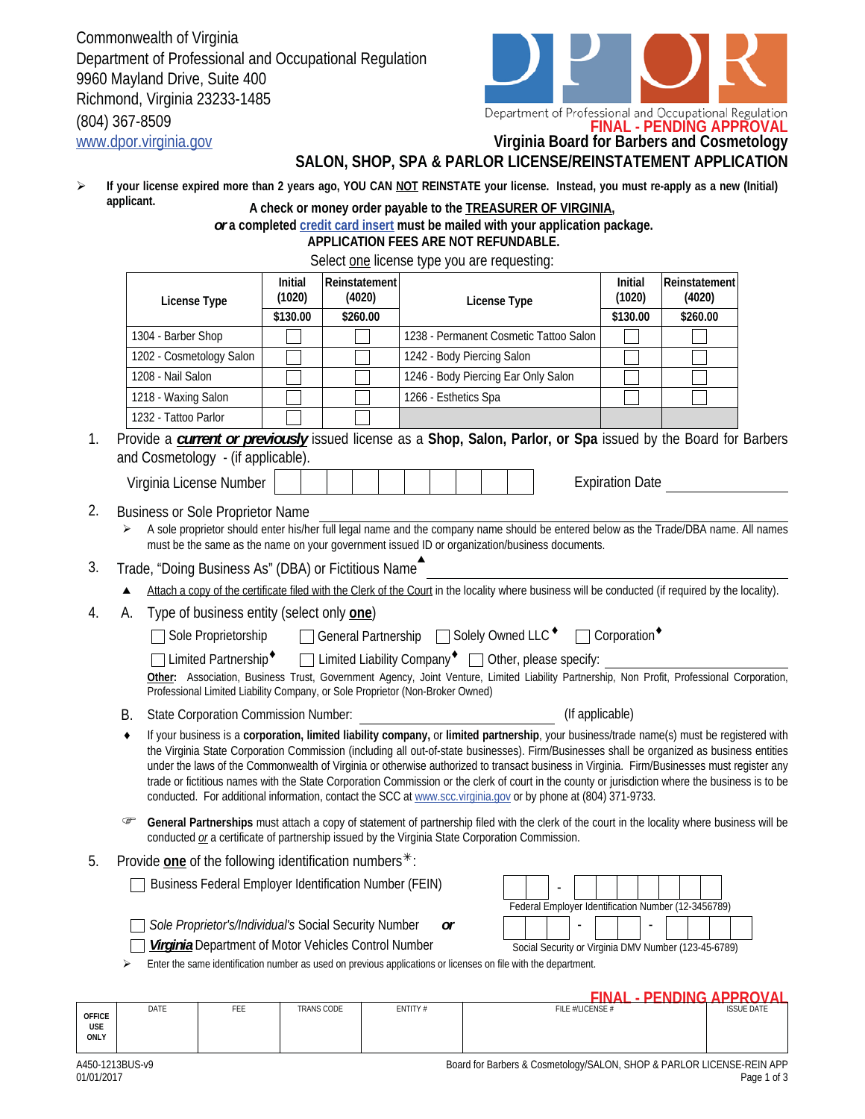Commonwealth of Virginia Department of Professional and Occupational Regulation 9960 Mayland Drive, Suite 400 Richmond, Virginia 23233-1485 (804) 367-8509



Department of Professional and Occupational Regulation<br>**FINAL - PENDING APPROVAL** 

www.dpor.virginia.gov **Virginia Board for Barbers and Cosmetology**

## **SALON, SHOP, SPA & PARLOR LICENSE/REINSTATEMENT APPLICATION**

If your license expired more than 2 years ago, YOU CAN **NOT REINSTATE your license. Instead, you must re-apply as a new (Initial) applicant.**   $\blacktriangleright$ **A check or money order payable to the TREASURER OF VIRGINIA,** 

## *or* **a completed credit card insert must be mailed with your application package.**

 **APPLICATION FEES ARE NOT REFUNDABLE.**

Select one lice

|    | License Type                                                                                                               | Initial<br>Reinstatement<br>(1020)<br>(4020) |          | License Type                                                                                                                                                                                                                                                                                                                                                                                                   | Initial<br>(1020)               | Reinstatement<br>(4020) |  |
|----|----------------------------------------------------------------------------------------------------------------------------|----------------------------------------------|----------|----------------------------------------------------------------------------------------------------------------------------------------------------------------------------------------------------------------------------------------------------------------------------------------------------------------------------------------------------------------------------------------------------------------|---------------------------------|-------------------------|--|
|    |                                                                                                                            | \$130.00                                     | \$260.00 |                                                                                                                                                                                                                                                                                                                                                                                                                | \$130.00                        | \$260.00                |  |
|    | 1304 - Barber Shop                                                                                                         |                                              |          | 1238 - Permanent Cosmetic Tattoo Salon                                                                                                                                                                                                                                                                                                                                                                         |                                 |                         |  |
|    | 1202 - Cosmetology Salon                                                                                                   |                                              |          | 1242 - Body Piercing Salon                                                                                                                                                                                                                                                                                                                                                                                     |                                 |                         |  |
|    | 1208 - Nail Salon                                                                                                          |                                              |          | 1246 - Body Piercing Ear Only Salon                                                                                                                                                                                                                                                                                                                                                                            |                                 |                         |  |
|    | 1218 - Waxing Salon                                                                                                        |                                              |          | 1266 - Esthetics Spa                                                                                                                                                                                                                                                                                                                                                                                           |                                 |                         |  |
|    | 1232 - Tattoo Parlor                                                                                                       |                                              |          |                                                                                                                                                                                                                                                                                                                                                                                                                |                                 |                         |  |
|    | and Cosmetology - (if applicable).                                                                                         |                                              |          | Provide a <b>current or previously</b> issued license as a Shop, Salon, Parlor, or Spa issued by the Board for Barbers                                                                                                                                                                                                                                                                                         |                                 |                         |  |
|    | Virginia License Number                                                                                                    |                                              |          |                                                                                                                                                                                                                                                                                                                                                                                                                | <b>Expiration Date</b>          |                         |  |
|    | <b>Business or Sole Proprietor Name</b>                                                                                    |                                              |          |                                                                                                                                                                                                                                                                                                                                                                                                                |                                 |                         |  |
| ➤  |                                                                                                                            |                                              |          | A sole proprietor should enter his/her full legal name and the company name should be entered below as the Trade/DBA name. All names<br>must be the same as the name on your government issued ID or organization/business documents.                                                                                                                                                                          |                                 |                         |  |
|    | Trade, "Doing Business As" (DBA) or Fictitious Name                                                                        |                                              |          |                                                                                                                                                                                                                                                                                                                                                                                                                |                                 |                         |  |
|    |                                                                                                                            |                                              |          | Attach a copy of the certificate filed with the Clerk of the Court in the locality where business will be conducted (if required by the locality).                                                                                                                                                                                                                                                             |                                 |                         |  |
| А. | Type of business entity (select only <b>one)</b>                                                                           |                                              |          |                                                                                                                                                                                                                                                                                                                                                                                                                |                                 |                         |  |
|    | Sole Proprietorship                                                                                                        |                                              |          | □ General Partnership □ Solely Owned LLC <sup>+</sup>                                                                                                                                                                                                                                                                                                                                                          | $\Box$ Corporation <sup>+</sup> |                         |  |
|    | Limited Partnership <sup>+</sup>                                                                                           |                                              |          | □ Limited Liability Company <sup>◆</sup> □ Other, please specify:                                                                                                                                                                                                                                                                                                                                              |                                 |                         |  |
|    | Professional Limited Liability Company, or Sole Proprietor (Non-Broker Owned)                                              |                                              |          | Other: Association, Business Trust, Government Agency, Joint Venture, Limited Liability Partnership, Non Profit, Professional Corporation,                                                                                                                                                                                                                                                                     |                                 |                         |  |
| В. | <b>State Corporation Commission Number:</b>                                                                                |                                              |          | (If applicable)                                                                                                                                                                                                                                                                                                                                                                                                |                                 |                         |  |
| ٠  |                                                                                                                            |                                              |          | If your business is a corporation, limited liability company, or limited partnership, your business/trade name(s) must be registered with<br>the Virginia State Corporation Commission (including all out-of-state businesses). Firm/Businesses shall be organized as business entities                                                                                                                        |                                 |                         |  |
|    |                                                                                                                            |                                              |          | under the laws of the Commonwealth of Virginia or otherwise authorized to transact business in Virginia. Firm/Businesses must register any<br>trade or fictitious names with the State Corporation Commission or the clerk of court in the county or jurisdiction where the business is to be<br>conducted. For additional information, contact the SCC at www.scc.virginia.gov or by phone at (804) 371-9733. |                                 |                         |  |
| ☞  |                                                                                                                            |                                              |          | General Partnerships must attach a copy of statement of partnership filed with the clerk of the court in the locality where business will be<br>conducted or a certificate of partnership issued by the Virginia State Corporation Commission.                                                                                                                                                                 |                                 |                         |  |
|    |                                                                                                                            |                                              |          |                                                                                                                                                                                                                                                                                                                                                                                                                |                                 |                         |  |
|    | Provide one of the following identification numbers $*$ :<br><b>Business Federal Employer Identification Number (FEIN)</b> |                                              |          |                                                                                                                                                                                                                                                                                                                                                                                                                |                                 |                         |  |
|    | Sole Proprietor's/Individual's Social Security Number                                                                      |                                              |          | Federal Employer Identification Number (12-3456789)<br>or                                                                                                                                                                                                                                                                                                                                                      |                                 |                         |  |
|    | Virginia Department of Motor Vehicles Control Number                                                                       |                                              |          | Social Security or Virginia DMV Number (123-45-6789)                                                                                                                                                                                                                                                                                                                                                           |                                 |                         |  |

| <b>OFFICE</b><br><b>USE</b><br>ONLY | DATE                                                                                    | FEE | <b>TRANS CODE</b> | ENTITY# | .<br>_______<br>FILE #/LICENSE # | <b>ISSUE DATE</b> |  |
|-------------------------------------|-----------------------------------------------------------------------------------------|-----|-------------------|---------|----------------------------------|-------------------|--|
|                                     | 1.150.1210110<br><b>Desails Dealers Account Laught ON CHODA DADI OD HOEMOE DEIN ADD</b> |     |                   |         |                                  |                   |  |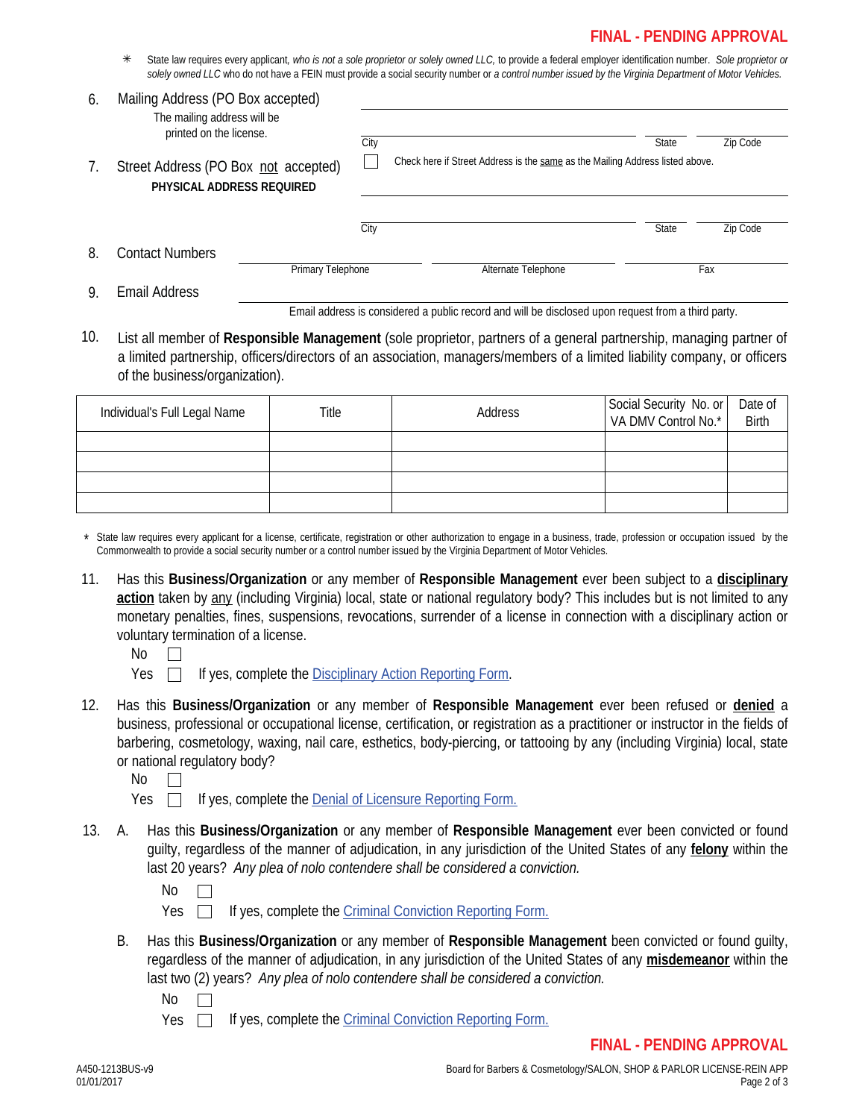## **FINAL - PENDING APPROVAL**

 State law requires every applicant*, who is not a sole proprietor or solely owned LLC,* to provide a federal employer identification number. *Sole proprietor or solely owned LLC* who do not have a FEIN must provide a social security number or *a control number issued by the Virginia Department of Motor Vehicles.*

| 6. | Mailing Address (PO Box accepted)<br>The mailing address will be  |                   |      |  |                     |                                                                               |          |  |
|----|-------------------------------------------------------------------|-------------------|------|--|---------------------|-------------------------------------------------------------------------------|----------|--|
|    | printed on the license.                                           |                   | City |  |                     | State                                                                         | Zip Code |  |
| 7. | Street Address (PO Box not accepted)<br>PHYSICAL ADDRESS REQUIRED |                   |      |  |                     | Check here if Street Address is the same as the Mailing Address listed above. |          |  |
|    |                                                                   |                   | City |  |                     | State                                                                         | Zip Code |  |
| 8. | Contact Numbers                                                   | Primary Telephone |      |  | Alternate Telephone |                                                                               | Fax      |  |
| 9. | Email Address                                                     |                   |      |  |                     |                                                                               |          |  |

Email address is considered a public record and will be disclosed upon request from a third party.

10. List all member of **Responsible Management** (sole proprietor, partners of a general partnership, managing partner of a limited partnership, officers/directors of an association, managers/members of a limited liability company, or officers of the business/organization).

| Individual's Full Legal Name | Title | Address | Social Security No. or<br>VA DMV Control No.* | Date of<br>Birth |
|------------------------------|-------|---------|-----------------------------------------------|------------------|
|                              |       |         |                                               |                  |
|                              |       |         |                                               |                  |
|                              |       |         |                                               |                  |
|                              |       |         |                                               |                  |

State law requires every applicant for a license, certificate, registration or other authorization to engage in a business, trade, profession or occupation issued by the Commonwealth to provide a social security number or a control number issued by the Virginia Department of Motor Vehicles.

- 11. Has this **Business/Organization** or any member of **Responsible Management** ever been subject to a **disciplinary**  action taken by any (including Virginia) local, state or national regulatory body? This includes but is not limited to any monetary penalties, fines, suspensions, revocations, surrender of a license in connection with a disciplinary action or voluntary termination of a license.
	- No  $\Box$
	- Yes **If yes, complete the Disciplinary Action Reporting Form.**
- 12. Has this **Business/Organization** or any member of **Responsible Management** ever been refused or **denied** a business, professional or occupational license, certification, or registration as a practitioner or instructor in the fields of barbering, cosmetology, waxing, nail care, esthetics, body-piercing, or tattooing by any (including Virginia) local, state or national regulatory body?
	- No  $\Box$
	- Yes  $\Box$  If yes, complete the Denial of Licensure Reporting Form.
- A. Has this **Business/Organization** or any member of **Responsible Management** ever been convicted or found guilty, regardless of the manner of adjudication, in any jurisdiction of the United States of any **felony** within the last 20 years? *Any plea of nolo contendere shall be considered a conviction.* 13.
	- No  $\Box$
	- Yes  $\Box$ If yes, complete the Criminal Conviction Reporting Form.
	- B. Has this **Business/Organization** or any member of **Responsible Management** been convicted or found guilty, regardless of the manner of adjudication, in any jurisdiction of the United States of any **misdemeanor** within the last two (2) years? *Any plea of nolo contendere shall be considered a conviction.*

No

Yes  $\Box$ If yes, complete the Criminal Conviction Reporting Form.